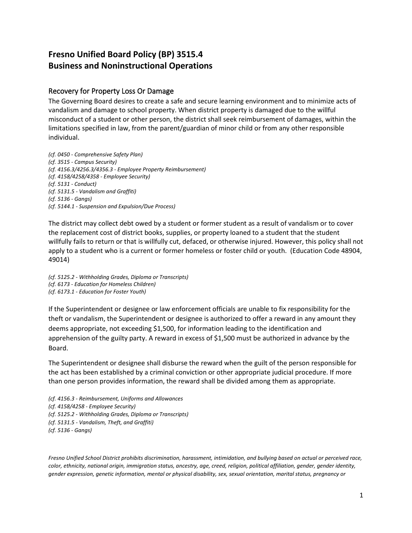## **Fresno Unified Board Policy (BP) 3515.4 Business and Noninstructional Operations**

## Recovery for Property Loss Or Damage

The Governing Board desires to create a safe and secure learning environment and to minimize acts of vandalism and damage to school property. When district property is damaged due to the willful misconduct of a student or other person, the district shall seek reimbursement of damages, within the limitations specified in law, from the parent/guardian of minor child or from any other responsible individual.

*(cf. 0450 - Comprehensive Safety Plan) (cf. 3515 - Campus Security) (cf. 4156.3/4256.3/4356.3 - Employee Property Reimbursement) (cf. 4158/4258/4358 - Employee Security) (cf. 5131 - Conduct) (cf. 5131.5 - Vandalism and Graffiti) (cf. 5136 - Gangs) (cf. 5144.1 - Suspension and Expulsion/Due Process)*

The district may collect debt owed by a student or former student as a result of vandalism or to cover the replacement cost of district books, supplies, or property loaned to a student that the student willfully fails to return or that is willfully cut, defaced, or otherwise injured. However, this policy shall not apply to a student who is a current or former homeless or foster child or youth. (Education Code 48904, 49014)

*(cf. 5125.2 - Withholding Grades, Diploma or Transcripts) (cf. 6173 - Education for Homeless Children) (cf. 6173.1 - Education for Foster Youth)*

If the Superintendent or designee or law enforcement officials are unable to fix responsibility for the theft or vandalism, the Superintendent or designee is authorized to offer a reward in any amount they deems appropriate, not exceeding \$1,500, for information leading to the identification and apprehension of the guilty party. A reward in excess of \$1,500 must be authorized in advance by the Board.

The Superintendent or designee shall disburse the reward when the guilt of the person responsible for the act has been established by a criminal conviction or other appropriate judicial procedure. If more than one person provides information, the reward shall be divided among them as appropriate.

*(cf. 4156.3 - Reimbursement, Uniforms and Allowances (cf. 4158/4258 - Employee Security) (cf. 5125.2 - Withholding Grades, Diploma or Transcripts) (cf. 5131.5 - Vandalism, Theft, and Graffiti) (cf. 5136 - Gangs)* 

*Fresno Unified School District prohibits discrimination, harassment, intimidation, and bullying based on actual or perceived race, color, ethnicity, national origin, immigration status, ancestry, age, creed, religion, political affiliation, gender, gender identity, gender expression, genetic information, mental or physical disability, sex, sexual orientation, marital status, pregnancy or*